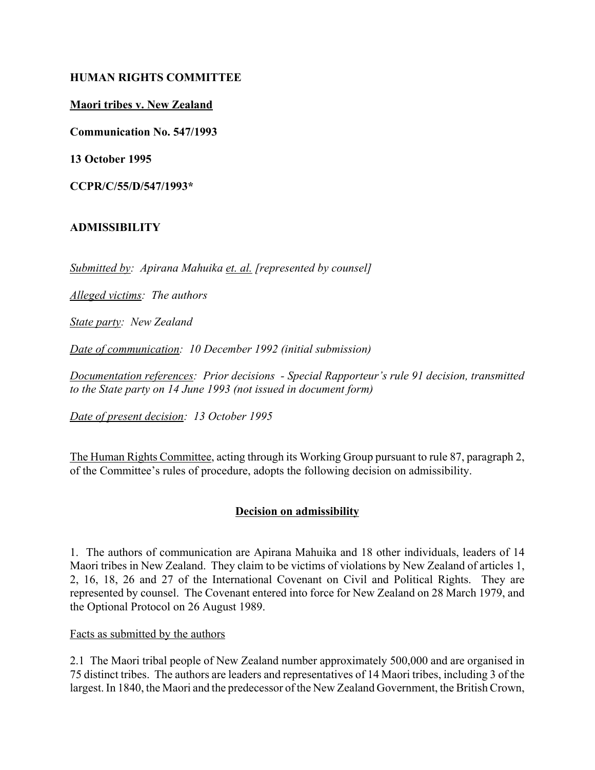#### **HUMAN RIGHTS COMMITTEE**

#### **Maori tribes v. New Zealand**

**Communication No. 547/1993**

**13 October 1995**

**CCPR/C/55/D/547/1993\***

#### **ADMISSIBILITY**

*Submitted by: Apirana Mahuika et. al. [represented by counsel]*

*Alleged victims: The authors*

*State party: New Zealand*

*Date of communication: 10 December 1992 (initial submission)* 

*Documentation references: Prior decisions - Special Rapporteur's rule 91 decision, transmitted to the State party on 14 June 1993 (not issued in document form)*

*Date of present decision: 13 October 1995*

The Human Rights Committee, acting through its Working Group pursuant to rule 87, paragraph 2, of the Committee's rules of procedure, adopts the following decision on admissibility.

### **Decision on admissibility**

1. The authors of communication are Apirana Mahuika and 18 other individuals, leaders of 14 Maori tribes in New Zealand. They claim to be victims of violations by New Zealand of articles 1, 2, 16, 18, 26 and 27 of the International Covenant on Civil and Political Rights. They are represented by counsel. The Covenant entered into force for New Zealand on 28 March 1979, and the Optional Protocol on 26 August 1989.

#### Facts as submitted by the authors

2.1 The Maori tribal people of New Zealand number approximately 500,000 and are organised in 75 distinct tribes. The authors are leaders and representatives of 14 Maori tribes, including 3 of the largest. In 1840, the Maori and the predecessor of the New Zealand Government, the British Crown,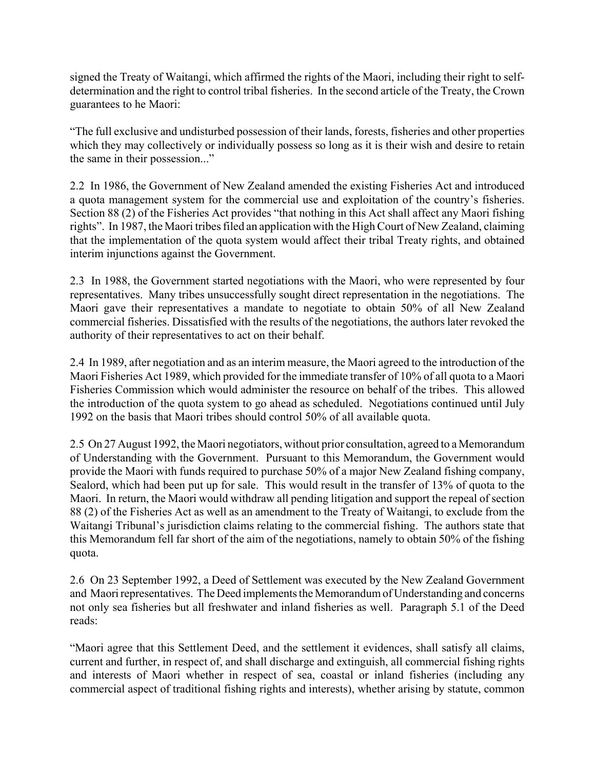signed the Treaty of Waitangi, which affirmed the rights of the Maori, including their right to selfdetermination and the right to control tribal fisheries. In the second article of the Treaty, the Crown guarantees to he Maori:

ìThe full exclusive and undisturbed possession of their lands, forests, fisheries and other properties which they may collectively or individually possess so long as it is their wish and desire to retain the same in their possession..."

2.2 In 1986, the Government of New Zealand amended the existing Fisheries Act and introduced a quota management system for the commercial use and exploitation of the country's fisheries. Section 88 (2) of the Fisheries Act provides "that nothing in this Act shall affect any Maori fishing rights". In 1987, the Maori tribes filed an application with the High Court of New Zealand, claiming that the implementation of the quota system would affect their tribal Treaty rights, and obtained interim injunctions against the Government.

2.3 In 1988, the Government started negotiations with the Maori, who were represented by four representatives. Many tribes unsuccessfully sought direct representation in the negotiations. The Maori gave their representatives a mandate to negotiate to obtain 50% of all New Zealand commercial fisheries. Dissatisfied with the results of the negotiations, the authors later revoked the authority of their representatives to act on their behalf.

2.4 In 1989, after negotiation and as an interim measure, the Maori agreed to the introduction of the Maori Fisheries Act 1989, which provided for the immediate transfer of 10% of all quota to a Maori Fisheries Commission which would administer the resource on behalf of the tribes. This allowed the introduction of the quota system to go ahead as scheduled. Negotiations continued until July 1992 on the basis that Maori tribes should control 50% of all available quota.

2.5 On 27 August 1992, the Maori negotiators, without prior consultation, agreed to a Memorandum of Understanding with the Government. Pursuant to this Memorandum, the Government would provide the Maori with funds required to purchase 50% of a major New Zealand fishing company, Sealord, which had been put up for sale. This would result in the transfer of 13% of quota to the Maori. In return, the Maori would withdraw all pending litigation and support the repeal of section 88 (2) of the Fisheries Act as well as an amendment to the Treaty of Waitangi, to exclude from the Waitangi Tribunal's jurisdiction claims relating to the commercial fishing. The authors state that this Memorandum fell far short of the aim of the negotiations, namely to obtain 50% of the fishing quota.

2.6 On 23 September 1992, a Deed of Settlement was executed by the New Zealand Government and Maori representatives. The Deed implements the Memorandum of Understanding and concerns not only sea fisheries but all freshwater and inland fisheries as well. Paragraph 5.1 of the Deed reads:

ìMaori agree that this Settlement Deed, and the settlement it evidences, shall satisfy all claims, current and further, in respect of, and shall discharge and extinguish, all commercial fishing rights and interests of Maori whether in respect of sea, coastal or inland fisheries (including any commercial aspect of traditional fishing rights and interests), whether arising by statute, common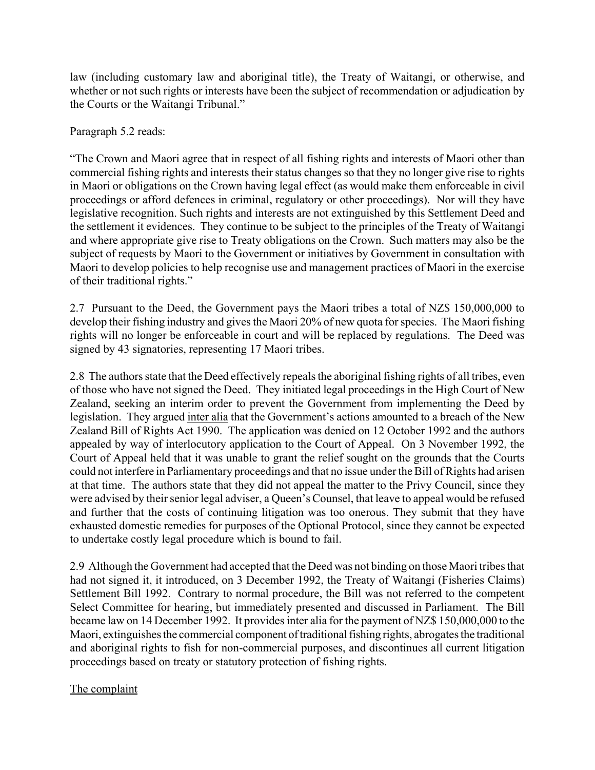law (including customary law and aboriginal title), the Treaty of Waitangi, or otherwise, and whether or not such rights or interests have been the subject of recommendation or adjudication by the Courts or the Waitangi Tribunal."

#### Paragraph 5.2 reads:

ìThe Crown and Maori agree that in respect of all fishing rights and interests of Maori other than commercial fishing rights and interests their status changes so that they no longer give rise to rights in Maori or obligations on the Crown having legal effect (as would make them enforceable in civil proceedings or afford defences in criminal, regulatory or other proceedings). Nor will they have legislative recognition. Such rights and interests are not extinguished by this Settlement Deed and the settlement it evidences. They continue to be subject to the principles of the Treaty of Waitangi and where appropriate give rise to Treaty obligations on the Crown. Such matters may also be the subject of requests by Maori to the Government or initiatives by Government in consultation with Maori to develop policies to help recognise use and management practices of Maori in the exercise of their traditional rights."

2.7 Pursuant to the Deed, the Government pays the Maori tribes a total of NZ\$ 150,000,000 to develop their fishing industry and gives the Maori 20% of new quota for species. The Maori fishing rights will no longer be enforceable in court and will be replaced by regulations. The Deed was signed by 43 signatories, representing 17 Maori tribes.

2.8 The authors state that the Deed effectively repeals the aboriginal fishing rights of all tribes, even of those who have not signed the Deed. They initiated legal proceedings in the High Court of New Zealand, seeking an interim order to prevent the Government from implementing the Deed by legislation. They argued inter alia that the Government's actions amounted to a breach of the New Zealand Bill of Rights Act 1990. The application was denied on 12 October 1992 and the authors appealed by way of interlocutory application to the Court of Appeal. On 3 November 1992, the Court of Appeal held that it was unable to grant the relief sought on the grounds that the Courts could not interfere in Parliamentary proceedings and that no issue under the Bill of Rights had arisen at that time. The authors state that they did not appeal the matter to the Privy Council, since they were advised by their senior legal adviser, a Queen's Counsel, that leave to appeal would be refused and further that the costs of continuing litigation was too onerous. They submit that they have exhausted domestic remedies for purposes of the Optional Protocol, since they cannot be expected to undertake costly legal procedure which is bound to fail.

2.9 Although the Government had accepted that the Deed was not binding on those Maori tribes that had not signed it, it introduced, on 3 December 1992, the Treaty of Waitangi (Fisheries Claims) Settlement Bill 1992. Contrary to normal procedure, the Bill was not referred to the competent Select Committee for hearing, but immediately presented and discussed in Parliament. The Bill became law on 14 December 1992. It provides inter alia for the payment of NZ\$ 150,000,000 to the Maori, extinguishes the commercial component of traditional fishing rights, abrogates the traditional and aboriginal rights to fish for non-commercial purposes, and discontinues all current litigation proceedings based on treaty or statutory protection of fishing rights.

### The complaint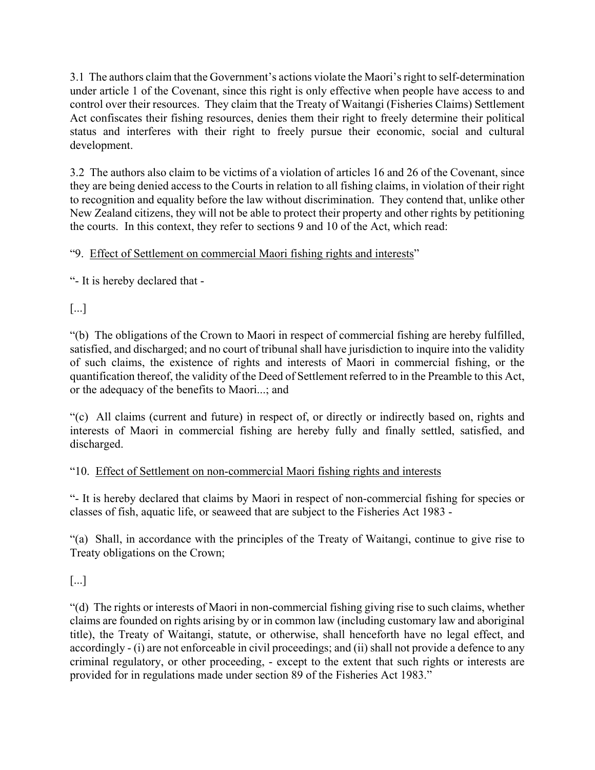3.1 The authors claim that the Government's actions violate the Maori's right to self-determination under article 1 of the Covenant, since this right is only effective when people have access to and control over their resources. They claim that the Treaty of Waitangi (Fisheries Claims) Settlement Act confiscates their fishing resources, denies them their right to freely determine their political status and interferes with their right to freely pursue their economic, social and cultural development.

3.2 The authors also claim to be victims of a violation of articles 16 and 26 of the Covenant, since they are being denied access to the Courts in relation to all fishing claims, in violation of their right to recognition and equality before the law without discrimination. They contend that, unlike other New Zealand citizens, they will not be able to protect their property and other rights by petitioning the courts. In this context, they refer to sections 9 and 10 of the Act, which read:

# "9. Effect of Settlement on commercial Maori fishing rights and interests"

ì- It is hereby declared that -

[...]

ì(b) The obligations of the Crown to Maori in respect of commercial fishing are hereby fulfilled, satisfied, and discharged; and no court of tribunal shall have jurisdiction to inquire into the validity of such claims, the existence of rights and interests of Maori in commercial fishing, or the quantification thereof, the validity of the Deed of Settlement referred to in the Preamble to this Act, or the adequacy of the benefits to Maori...; and

ì(c) All claims (current and future) in respect of, or directly or indirectly based on, rights and interests of Maori in commercial fishing are hereby fully and finally settled, satisfied, and discharged.

# ì10. Effect of Settlement on non-commercial Maori fishing rights and interests

ì- It is hereby declared that claims by Maori in respect of non-commercial fishing for species or classes of fish, aquatic life, or seaweed that are subject to the Fisheries Act 1983 -

ì(a) Shall, in accordance with the principles of the Treaty of Waitangi, continue to give rise to Treaty obligations on the Crown;

[...]

ì(d) The rights or interests of Maori in non-commercial fishing giving rise to such claims, whether claims are founded on rights arising by or in common law (including customary law and aboriginal title), the Treaty of Waitangi, statute, or otherwise, shall henceforth have no legal effect, and accordingly - (i) are not enforceable in civil proceedings; and (ii) shall not provide a defence to any criminal regulatory, or other proceeding, - except to the extent that such rights or interests are provided for in regulations made under section 89 of the Fisheries Act 1983.<sup>n</sup>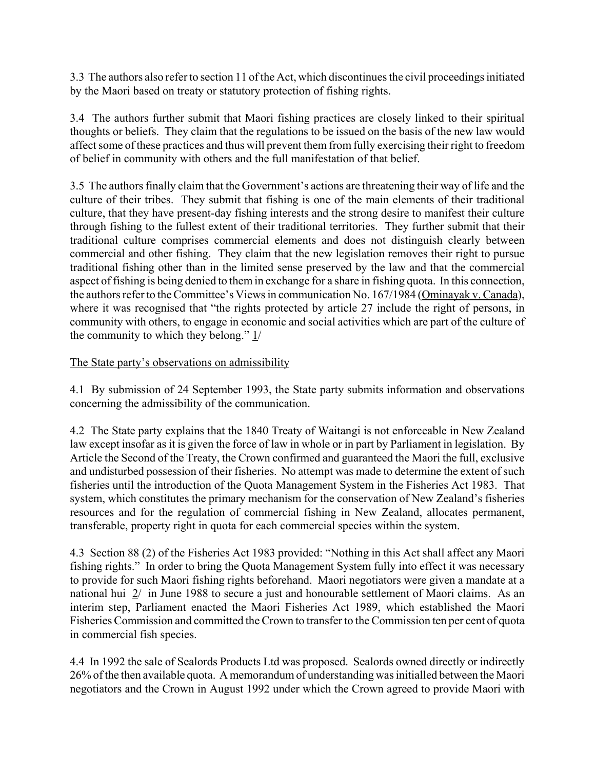3.3 The authors also refer to section 11 of the Act, which discontinues the civil proceedings initiated by the Maori based on treaty or statutory protection of fishing rights.

3.4 The authors further submit that Maori fishing practices are closely linked to their spiritual thoughts or beliefs. They claim that the regulations to be issued on the basis of the new law would affect some of these practices and thus will prevent them from fully exercising their right to freedom of belief in community with others and the full manifestation of that belief.

3.5 The authors finally claim that the Government's actions are threatening their way of life and the culture of their tribes. They submit that fishing is one of the main elements of their traditional culture, that they have present-day fishing interests and the strong desire to manifest their culture through fishing to the fullest extent of their traditional territories. They further submit that their traditional culture comprises commercial elements and does not distinguish clearly between commercial and other fishing. They claim that the new legislation removes their right to pursue traditional fishing other than in the limited sense preserved by the law and that the commercial aspect of fishing is being denied to them in exchange for a share in fishing quota. In this connection, the authors refer to the Committee's Views in communication No. 167/1984 (Ominayak v. Canada), where it was recognised that "the rights protected by article 27 include the right of persons, in community with others, to engage in economic and social activities which are part of the culture of the community to which they belong."  $1/$ 

### The State party's observations on admissibility

4.1 By submission of 24 September 1993, the State party submits information and observations concerning the admissibility of the communication.

4.2 The State party explains that the 1840 Treaty of Waitangi is not enforceable in New Zealand law except insofar as it is given the force of law in whole or in part by Parliament in legislation. By Article the Second of the Treaty, the Crown confirmed and guaranteed the Maori the full, exclusive and undisturbed possession of their fisheries. No attempt was made to determine the extent of such fisheries until the introduction of the Quota Management System in the Fisheries Act 1983. That system, which constitutes the primary mechanism for the conservation of New Zealand's fisheries resources and for the regulation of commercial fishing in New Zealand, allocates permanent, transferable, property right in quota for each commercial species within the system.

4.3 Section 88 (2) of the Fisheries Act 1983 provided: "Nothing in this Act shall affect any Maori fishing rights." In order to bring the Quota Management System fully into effect it was necessary to provide for such Maori fishing rights beforehand. Maori negotiators were given a mandate at a national hui 2/ in June 1988 to secure a just and honourable settlement of Maori claims. As an interim step, Parliament enacted the Maori Fisheries Act 1989, which established the Maori Fisheries Commission and committed the Crown to transfer to the Commission ten per cent of quota in commercial fish species.

4.4 In 1992 the sale of Sealords Products Ltd was proposed. Sealords owned directly or indirectly 26% of the then available quota. A memorandum of understanding was initialled between the Maori negotiators and the Crown in August 1992 under which the Crown agreed to provide Maori with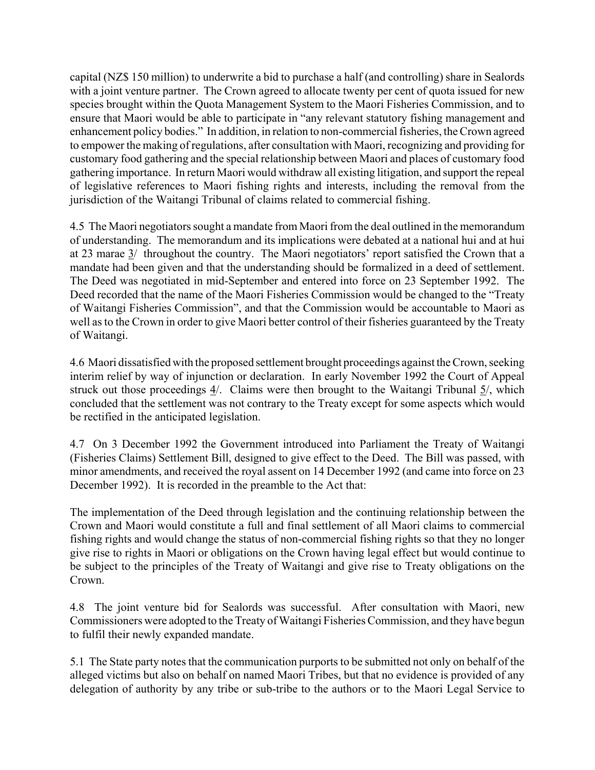capital (NZ\$ 150 million) to underwrite a bid to purchase a half (and controlling) share in Sealords with a joint venture partner. The Crown agreed to allocate twenty per cent of quota issued for new species brought within the Quota Management System to the Maori Fisheries Commission, and to ensure that Maori would be able to participate in "any relevant statutory fishing management and enhancement policy bodies." In addition, in relation to non-commercial fisheries, the Crown agreed to empower the making of regulations, after consultation with Maori, recognizing and providing for customary food gathering and the special relationship between Maori and places of customary food gathering importance. In return Maori would withdraw all existing litigation, and support the repeal of legislative references to Maori fishing rights and interests, including the removal from the jurisdiction of the Waitangi Tribunal of claims related to commercial fishing.

4.5 The Maori negotiators sought a mandate from Maori from the deal outlined in the memorandum of understanding. The memorandum and its implications were debated at a national hui and at hui at 23 marae  $3/$  throughout the country. The Maori negotiators' report satisfied the Crown that a mandate had been given and that the understanding should be formalized in a deed of settlement. The Deed was negotiated in mid-September and entered into force on 23 September 1992. The Deed recorded that the name of the Maori Fisheries Commission would be changed to the "Treaty" of Waitangi Fisheries Commissionî, and that the Commission would be accountable to Maori as well as to the Crown in order to give Maori better control of their fisheries guaranteed by the Treaty of Waitangi.

4.6 Maori dissatisfied with the proposed settlement brought proceedings against the Crown, seeking interim relief by way of injunction or declaration. In early November 1992 the Court of Appeal struck out those proceedings 4/. Claims were then brought to the Waitangi Tribunal 5/, which concluded that the settlement was not contrary to the Treaty except for some aspects which would be rectified in the anticipated legislation.

4.7 On 3 December 1992 the Government introduced into Parliament the Treaty of Waitangi (Fisheries Claims) Settlement Bill, designed to give effect to the Deed. The Bill was passed, with minor amendments, and received the royal assent on 14 December 1992 (and came into force on 23 December 1992). It is recorded in the preamble to the Act that:

The implementation of the Deed through legislation and the continuing relationship between the Crown and Maori would constitute a full and final settlement of all Maori claims to commercial fishing rights and would change the status of non-commercial fishing rights so that they no longer give rise to rights in Maori or obligations on the Crown having legal effect but would continue to be subject to the principles of the Treaty of Waitangi and give rise to Treaty obligations on the Crown.

4.8 The joint venture bid for Sealords was successful. After consultation with Maori, new Commissioners were adopted to the Treaty of Waitangi Fisheries Commission, and they have begun to fulfil their newly expanded mandate.

5.1 The State party notes that the communication purports to be submitted not only on behalf of the alleged victims but also on behalf on named Maori Tribes, but that no evidence is provided of any delegation of authority by any tribe or sub-tribe to the authors or to the Maori Legal Service to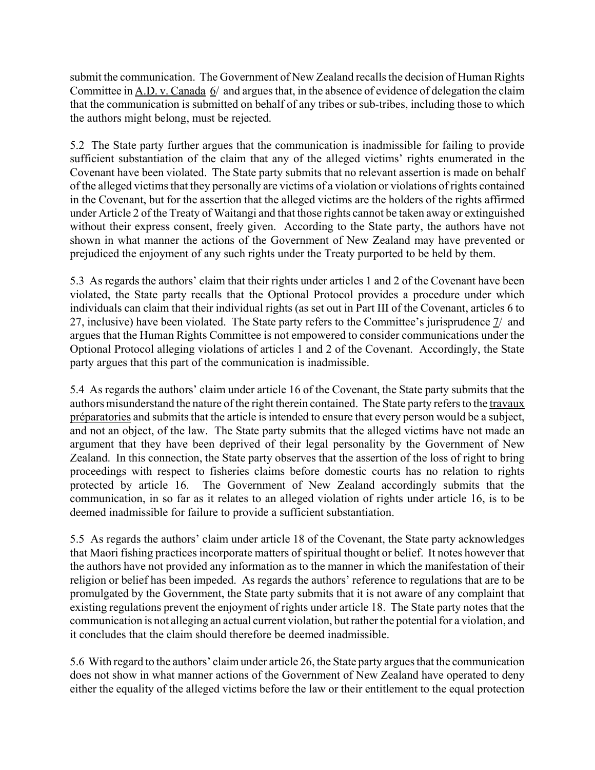submit the communication. The Government of New Zealand recalls the decision of Human Rights Committee in  $\underline{A.D. v.}$  Canada  $\underline{6}$  and argues that, in the absence of evidence of delegation the claim that the communication is submitted on behalf of any tribes or sub-tribes, including those to which the authors might belong, must be rejected.

5.2 The State party further argues that the communication is inadmissible for failing to provide sufficient substantiation of the claim that any of the alleged victims' rights enumerated in the Covenant have been violated. The State party submits that no relevant assertion is made on behalf of the alleged victims that they personally are victims of a violation or violations of rights contained in the Covenant, but for the assertion that the alleged victims are the holders of the rights affirmed under Article 2 of the Treaty of Waitangi and that those rights cannot be taken away or extinguished without their express consent, freely given. According to the State party, the authors have not shown in what manner the actions of the Government of New Zealand may have prevented or prejudiced the enjoyment of any such rights under the Treaty purported to be held by them.

5.3 As regards the authors' claim that their rights under articles 1 and 2 of the Covenant have been violated, the State party recalls that the Optional Protocol provides a procedure under which individuals can claim that their individual rights (as set out in Part III of the Covenant, articles 6 to 27, inclusive) have been violated. The State party refers to the Committee's jurisprudence 7/ and argues that the Human Rights Committee is not empowered to consider communications under the Optional Protocol alleging violations of articles 1 and 2 of the Covenant. Accordingly, the State party argues that this part of the communication is inadmissible.

5.4 As regards the authors' claim under article 16 of the Covenant, the State party submits that the authors misunderstand the nature of the right therein contained. The State party refers to the travaux préparatories and submits that the article is intended to ensure that every person would be a subject, and not an object, of the law. The State party submits that the alleged victims have not made an argument that they have been deprived of their legal personality by the Government of New Zealand. In this connection, the State party observes that the assertion of the loss of right to bring proceedings with respect to fisheries claims before domestic courts has no relation to rights protected by article 16. The Government of New Zealand accordingly submits that the communication, in so far as it relates to an alleged violation of rights under article 16, is to be deemed inadmissible for failure to provide a sufficient substantiation.

5.5 As regards the authors' claim under article 18 of the Covenant, the State party acknowledges that Maori fishing practices incorporate matters of spiritual thought or belief. It notes however that the authors have not provided any information as to the manner in which the manifestation of their religion or belief has been impeded. As regards the authors' reference to regulations that are to be promulgated by the Government, the State party submits that it is not aware of any complaint that existing regulations prevent the enjoyment of rights under article 18. The State party notes that the communication is not alleging an actual current violation, but rather the potential for a violation, and it concludes that the claim should therefore be deemed inadmissible.

5.6 With regard to the authors' claim under article 26, the State party argues that the communication does not show in what manner actions of the Government of New Zealand have operated to deny either the equality of the alleged victims before the law or their entitlement to the equal protection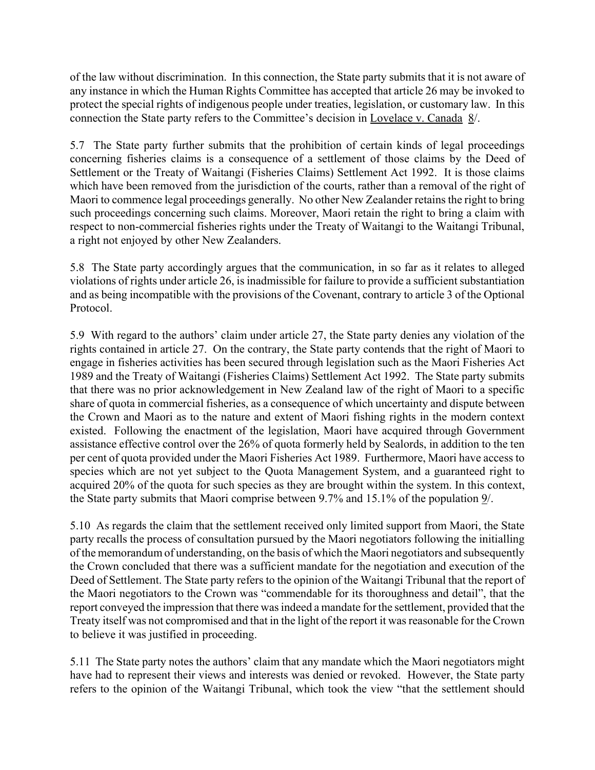of the law without discrimination. In this connection, the State party submits that it is not aware of any instance in which the Human Rights Committee has accepted that article 26 may be invoked to protect the special rights of indigenous people under treaties, legislation, or customary law. In this connection the State party refers to the Committee's decision in Lovelace v. Canada 8/.

5.7 The State party further submits that the prohibition of certain kinds of legal proceedings concerning fisheries claims is a consequence of a settlement of those claims by the Deed of Settlement or the Treaty of Waitangi (Fisheries Claims) Settlement Act 1992. It is those claims which have been removed from the jurisdiction of the courts, rather than a removal of the right of Maori to commence legal proceedings generally. No other New Zealander retains the right to bring such proceedings concerning such claims. Moreover, Maori retain the right to bring a claim with respect to non-commercial fisheries rights under the Treaty of Waitangi to the Waitangi Tribunal, a right not enjoyed by other New Zealanders.

5.8 The State party accordingly argues that the communication, in so far as it relates to alleged violations of rights under article 26, is inadmissible for failure to provide a sufficient substantiation and as being incompatible with the provisions of the Covenant, contrary to article 3 of the Optional Protocol.

5.9 With regard to the authors' claim under article 27, the State party denies any violation of the rights contained in article 27. On the contrary, the State party contends that the right of Maori to engage in fisheries activities has been secured through legislation such as the Maori Fisheries Act 1989 and the Treaty of Waitangi (Fisheries Claims) Settlement Act 1992. The State party submits that there was no prior acknowledgement in New Zealand law of the right of Maori to a specific share of quota in commercial fisheries, as a consequence of which uncertainty and dispute between the Crown and Maori as to the nature and extent of Maori fishing rights in the modern context existed. Following the enactment of the legislation, Maori have acquired through Government assistance effective control over the 26% of quota formerly held by Sealords, in addition to the ten per cent of quota provided under the Maori Fisheries Act 1989. Furthermore, Maori have access to species which are not yet subject to the Quota Management System, and a guaranteed right to acquired 20% of the quota for such species as they are brought within the system. In this context, the State party submits that Maori comprise between 9.7% and 15.1% of the population 9/.

5.10 As regards the claim that the settlement received only limited support from Maori, the State party recalls the process of consultation pursued by the Maori negotiators following the initialling of the memorandum of understanding, on the basis of which the Maori negotiators and subsequently the Crown concluded that there was a sufficient mandate for the negotiation and execution of the Deed of Settlement. The State party refers to the opinion of the Waitangi Tribunal that the report of the Maori negotiators to the Crown was "commendable for its thoroughness and detail", that the report conveyed the impression that there was indeed a mandate for the settlement, provided that the Treaty itself was not compromised and that in the light of the report it was reasonable for the Crown to believe it was justified in proceeding.

5.11 The State party notes the authors' claim that any mandate which the Maori negotiators might have had to represent their views and interests was denied or revoked. However, the State party refers to the opinion of the Waitangi Tribunal, which took the view "that the settlement should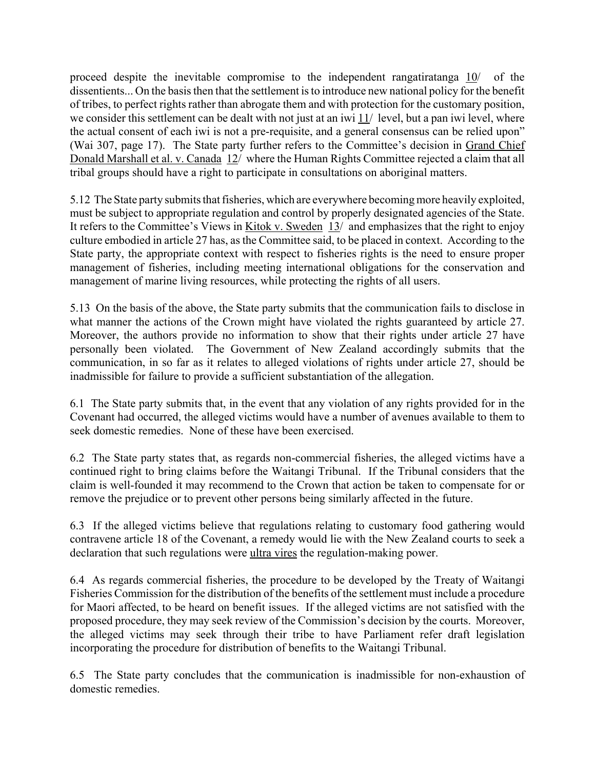proceed despite the inevitable compromise to the independent rangatiratanga 10/ of the dissentients... On the basis then that the settlement is to introduce new national policy for the benefit of tribes, to perfect rights rather than abrogate them and with protection for the customary position, we consider this settlement can be dealt with not just at an iwi 11/ level, but a pan iwi level, where the actual consent of each iwi is not a pre-requisite, and a general consensus can be relied upon" (Wai 307, page 17). The State party further refers to the Committee's decision in Grand Chief Donald Marshall et al. v. Canada 12/ where the Human Rights Committee rejected a claim that all tribal groups should have a right to participate in consultations on aboriginal matters.

5.12 The State party submits that fisheries, which are everywhere becoming more heavily exploited, must be subject to appropriate regulation and control by properly designated agencies of the State. It refers to the Committee's Views in Kitok v. Sweden 13/ and emphasizes that the right to enjoy culture embodied in article 27 has, as the Committee said, to be placed in context. According to the State party, the appropriate context with respect to fisheries rights is the need to ensure proper management of fisheries, including meeting international obligations for the conservation and management of marine living resources, while protecting the rights of all users.

5.13 On the basis of the above, the State party submits that the communication fails to disclose in what manner the actions of the Crown might have violated the rights guaranteed by article 27. Moreover, the authors provide no information to show that their rights under article 27 have personally been violated. The Government of New Zealand accordingly submits that the communication, in so far as it relates to alleged violations of rights under article 27, should be inadmissible for failure to provide a sufficient substantiation of the allegation.

6.1 The State party submits that, in the event that any violation of any rights provided for in the Covenant had occurred, the alleged victims would have a number of avenues available to them to seek domestic remedies. None of these have been exercised.

6.2 The State party states that, as regards non-commercial fisheries, the alleged victims have a continued right to bring claims before the Waitangi Tribunal. If the Tribunal considers that the claim is well-founded it may recommend to the Crown that action be taken to compensate for or remove the prejudice or to prevent other persons being similarly affected in the future.

6.3 If the alleged victims believe that regulations relating to customary food gathering would contravene article 18 of the Covenant, a remedy would lie with the New Zealand courts to seek a declaration that such regulations were ultra vires the regulation-making power.

6.4 As regards commercial fisheries, the procedure to be developed by the Treaty of Waitangi Fisheries Commission for the distribution of the benefits of the settlement must include a procedure for Maori affected, to be heard on benefit issues. If the alleged victims are not satisfied with the proposed procedure, they may seek review of the Commission's decision by the courts. Moreover, the alleged victims may seek through their tribe to have Parliament refer draft legislation incorporating the procedure for distribution of benefits to the Waitangi Tribunal.

6.5 The State party concludes that the communication is inadmissible for non-exhaustion of domestic remedies.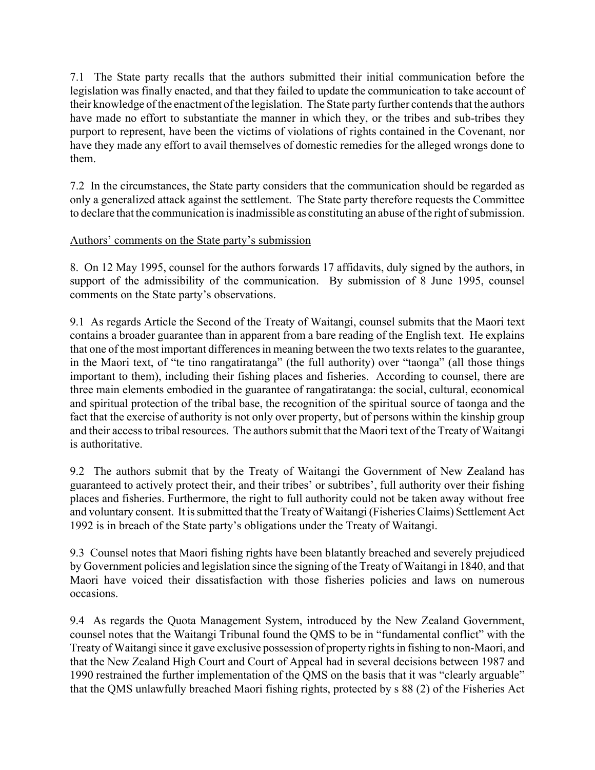7.1 The State party recalls that the authors submitted their initial communication before the legislation was finally enacted, and that they failed to update the communication to take account of their knowledge of the enactment of the legislation. The State party further contends that the authors have made no effort to substantiate the manner in which they, or the tribes and sub-tribes they purport to represent, have been the victims of violations of rights contained in the Covenant, nor have they made any effort to avail themselves of domestic remedies for the alleged wrongs done to them.

7.2 In the circumstances, the State party considers that the communication should be regarded as only a generalized attack against the settlement. The State party therefore requests the Committee to declare that the communication is inadmissible as constituting an abuse of the right of submission.

## Authors' comments on the State party's submission

8. On 12 May 1995, counsel for the authors forwards 17 affidavits, duly signed by the authors, in support of the admissibility of the communication. By submission of 8 June 1995, counsel comments on the State party's observations.

9.1 As regards Article the Second of the Treaty of Waitangi, counsel submits that the Maori text contains a broader guarantee than in apparent from a bare reading of the English text. He explains that one of the most important differences in meaning between the two texts relates to the guarantee, in the Maori text, of "te tino rangatiratanga" (the full authority) over "taonga" (all those things important to them), including their fishing places and fisheries. According to counsel, there are three main elements embodied in the guarantee of rangatiratanga: the social, cultural, economical and spiritual protection of the tribal base, the recognition of the spiritual source of taonga and the fact that the exercise of authority is not only over property, but of persons within the kinship group and their access to tribal resources. The authors submit that the Maori text of the Treaty of Waitangi is authoritative.

9.2 The authors submit that by the Treaty of Waitangi the Government of New Zealand has guaranteed to actively protect their, and their tribes' or subtribes', full authority over their fishing places and fisheries. Furthermore, the right to full authority could not be taken away without free and voluntary consent. It is submitted that the Treaty of Waitangi (Fisheries Claims) Settlement Act 1992 is in breach of the State partyís obligations under the Treaty of Waitangi.

9.3 Counsel notes that Maori fishing rights have been blatantly breached and severely prejudiced by Government policies and legislation since the signing of the Treaty of Waitangi in 1840, and that Maori have voiced their dissatisfaction with those fisheries policies and laws on numerous occasions.

9.4 As regards the Quota Management System, introduced by the New Zealand Government, counsel notes that the Waitangi Tribunal found the QMS to be in "fundamental conflict" with the Treaty of Waitangi since it gave exclusive possession of property rights in fishing to non-Maori, and that the New Zealand High Court and Court of Appeal had in several decisions between 1987 and 1990 restrained the further implementation of the QMS on the basis that it was "clearly arguable" that the QMS unlawfully breached Maori fishing rights, protected by s 88 (2) of the Fisheries Act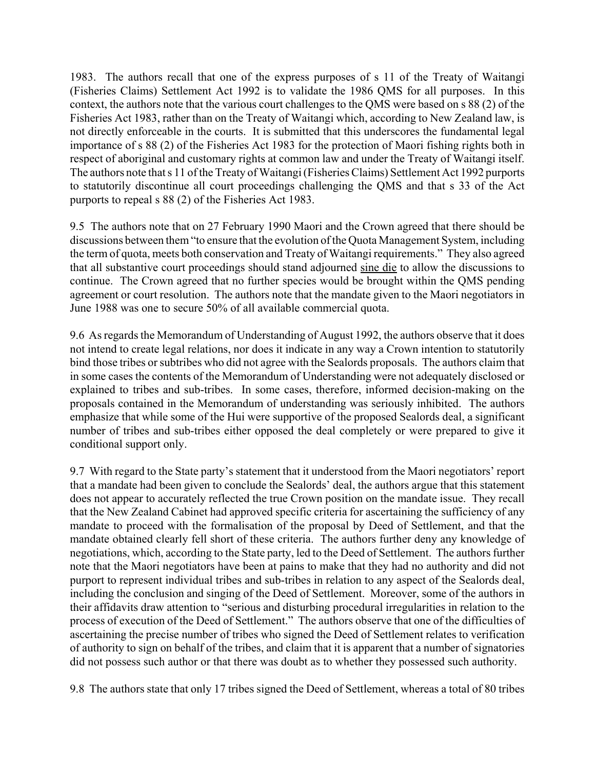1983. The authors recall that one of the express purposes of s 11 of the Treaty of Waitangi (Fisheries Claims) Settlement Act 1992 is to validate the 1986 QMS for all purposes. In this context, the authors note that the various court challenges to the QMS were based on s 88 (2) of the Fisheries Act 1983, rather than on the Treaty of Waitangi which, according to New Zealand law, is not directly enforceable in the courts. It is submitted that this underscores the fundamental legal importance of s 88 (2) of the Fisheries Act 1983 for the protection of Maori fishing rights both in respect of aboriginal and customary rights at common law and under the Treaty of Waitangi itself. The authors note that s 11 of the Treaty of Waitangi (Fisheries Claims) Settlement Act 1992 purports to statutorily discontinue all court proceedings challenging the QMS and that s 33 of the Act purports to repeal s 88 (2) of the Fisheries Act 1983.

9.5 The authors note that on 27 February 1990 Maori and the Crown agreed that there should be discussions between them "to ensure that the evolution of the Quota Management System, including the term of quota, meets both conservation and Treaty of Waitangi requirements." They also agreed that all substantive court proceedings should stand adjourned sine die to allow the discussions to continue. The Crown agreed that no further species would be brought within the QMS pending agreement or court resolution. The authors note that the mandate given to the Maori negotiators in June 1988 was one to secure 50% of all available commercial quota.

9.6 As regards the Memorandum of Understanding of August 1992, the authors observe that it does not intend to create legal relations, nor does it indicate in any way a Crown intention to statutorily bind those tribes or subtribes who did not agree with the Sealords proposals. The authors claim that in some cases the contents of the Memorandum of Understanding were not adequately disclosed or explained to tribes and sub-tribes. In some cases, therefore, informed decision-making on the proposals contained in the Memorandum of understanding was seriously inhibited. The authors emphasize that while some of the Hui were supportive of the proposed Sealords deal, a significant number of tribes and sub-tribes either opposed the deal completely or were prepared to give it conditional support only.

9.7 With regard to the State party's statement that it understood from the Maori negotiators' report that a mandate had been given to conclude the Sealords' deal, the authors argue that this statement does not appear to accurately reflected the true Crown position on the mandate issue. They recall that the New Zealand Cabinet had approved specific criteria for ascertaining the sufficiency of any mandate to proceed with the formalisation of the proposal by Deed of Settlement, and that the mandate obtained clearly fell short of these criteria. The authors further deny any knowledge of negotiations, which, according to the State party, led to the Deed of Settlement. The authors further note that the Maori negotiators have been at pains to make that they had no authority and did not purport to represent individual tribes and sub-tribes in relation to any aspect of the Sealords deal, including the conclusion and singing of the Deed of Settlement. Moreover, some of the authors in their affidavits draw attention to "serious and disturbing procedural irregularities in relation to the process of execution of the Deed of Settlement." The authors observe that one of the difficulties of ascertaining the precise number of tribes who signed the Deed of Settlement relates to verification of authority to sign on behalf of the tribes, and claim that it is apparent that a number of signatories did not possess such author or that there was doubt as to whether they possessed such authority.

9.8 The authors state that only 17 tribes signed the Deed of Settlement, whereas a total of 80 tribes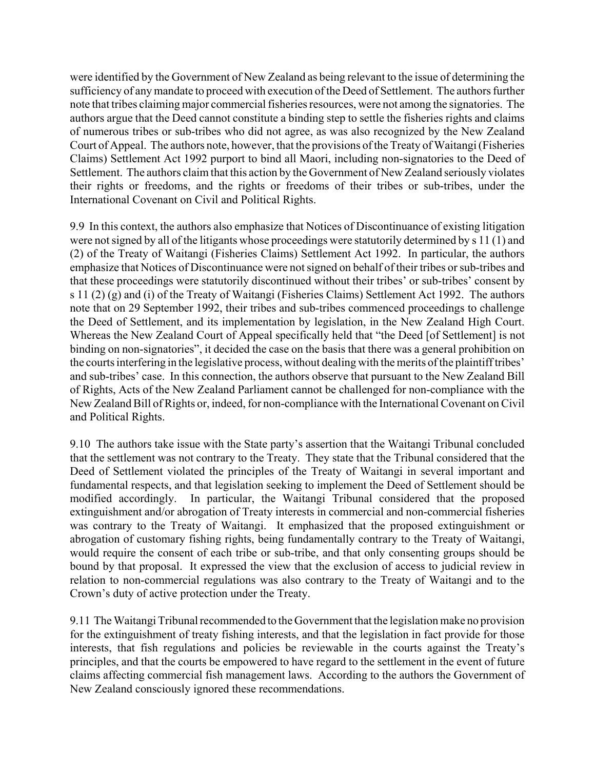were identified by the Government of New Zealand as being relevant to the issue of determining the sufficiency of any mandate to proceed with execution of the Deed of Settlement. The authors further note that tribes claiming major commercial fisheries resources, were not among the signatories. The authors argue that the Deed cannot constitute a binding step to settle the fisheries rights and claims of numerous tribes or sub-tribes who did not agree, as was also recognized by the New Zealand Court of Appeal. The authors note, however, that the provisions of the Treaty of Waitangi (Fisheries Claims) Settlement Act 1992 purport to bind all Maori, including non-signatories to the Deed of Settlement. The authors claim that this action by the Government of New Zealand seriously violates their rights or freedoms, and the rights or freedoms of their tribes or sub-tribes, under the International Covenant on Civil and Political Rights.

9.9 In this context, the authors also emphasize that Notices of Discontinuance of existing litigation were not signed by all of the litigants whose proceedings were statutorily determined by s 11 (1) and (2) of the Treaty of Waitangi (Fisheries Claims) Settlement Act 1992. In particular, the authors emphasize that Notices of Discontinuance were not signed on behalf of their tribes or sub-tribes and that these proceedings were statutorily discontinued without their tribes' or sub-tribes' consent by s 11 (2) (g) and (i) of the Treaty of Waitangi (Fisheries Claims) Settlement Act 1992. The authors note that on 29 September 1992, their tribes and sub-tribes commenced proceedings to challenge the Deed of Settlement, and its implementation by legislation, in the New Zealand High Court. Whereas the New Zealand Court of Appeal specifically held that "the Deed [of Settlement] is not binding on non-signatories", it decided the case on the basis that there was a general prohibition on the courts interfering in the legislative process, without dealing with the merits of the plaintiff tribes<sup>'</sup> and sub-tribes' case. In this connection, the authors observe that pursuant to the New Zealand Bill of Rights, Acts of the New Zealand Parliament cannot be challenged for non-compliance with the New Zealand Bill of Rights or, indeed, for non-compliance with the International Covenant on Civil and Political Rights.

9.10 The authors take issue with the State party's assertion that the Waitangi Tribunal concluded that the settlement was not contrary to the Treaty. They state that the Tribunal considered that the Deed of Settlement violated the principles of the Treaty of Waitangi in several important and fundamental respects, and that legislation seeking to implement the Deed of Settlement should be modified accordingly. In particular, the Waitangi Tribunal considered that the proposed extinguishment and/or abrogation of Treaty interests in commercial and non-commercial fisheries was contrary to the Treaty of Waitangi. It emphasized that the proposed extinguishment or abrogation of customary fishing rights, being fundamentally contrary to the Treaty of Waitangi, would require the consent of each tribe or sub-tribe, and that only consenting groups should be bound by that proposal. It expressed the view that the exclusion of access to judicial review in relation to non-commercial regulations was also contrary to the Treaty of Waitangi and to the Crown's duty of active protection under the Treaty.

9.11 The Waitangi Tribunal recommended to the Government that the legislation make no provision for the extinguishment of treaty fishing interests, and that the legislation in fact provide for those interests, that fish regulations and policies be reviewable in the courts against the Treaty's principles, and that the courts be empowered to have regard to the settlement in the event of future claims affecting commercial fish management laws. According to the authors the Government of New Zealand consciously ignored these recommendations.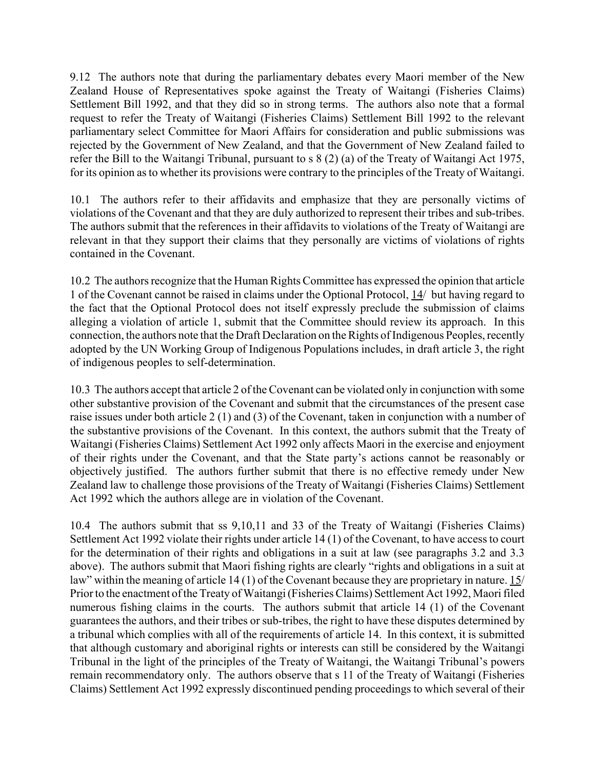9.12 The authors note that during the parliamentary debates every Maori member of the New Zealand House of Representatives spoke against the Treaty of Waitangi (Fisheries Claims) Settlement Bill 1992, and that they did so in strong terms. The authors also note that a formal request to refer the Treaty of Waitangi (Fisheries Claims) Settlement Bill 1992 to the relevant parliamentary select Committee for Maori Affairs for consideration and public submissions was rejected by the Government of New Zealand, and that the Government of New Zealand failed to refer the Bill to the Waitangi Tribunal, pursuant to s 8 (2) (a) of the Treaty of Waitangi Act 1975, for its opinion as to whether its provisions were contrary to the principles of the Treaty of Waitangi.

10.1 The authors refer to their affidavits and emphasize that they are personally victims of violations of the Covenant and that they are duly authorized to represent their tribes and sub-tribes. The authors submit that the references in their affidavits to violations of the Treaty of Waitangi are relevant in that they support their claims that they personally are victims of violations of rights contained in the Covenant.

10.2 The authors recognize that the Human Rights Committee has expressed the opinion that article 1 of the Covenant cannot be raised in claims under the Optional Protocol, 14/ but having regard to the fact that the Optional Protocol does not itself expressly preclude the submission of claims alleging a violation of article 1, submit that the Committee should review its approach. In this connection, the authors note that the Draft Declaration on the Rights of Indigenous Peoples, recently adopted by the UN Working Group of Indigenous Populations includes, in draft article 3, the right of indigenous peoples to self-determination.

10.3 The authors accept that article 2 of the Covenant can be violated only in conjunction with some other substantive provision of the Covenant and submit that the circumstances of the present case raise issues under both article 2 (1) and (3) of the Covenant, taken in conjunction with a number of the substantive provisions of the Covenant. In this context, the authors submit that the Treaty of Waitangi (Fisheries Claims) Settlement Act 1992 only affects Maori in the exercise and enjoyment of their rights under the Covenant, and that the State partyís actions cannot be reasonably or objectively justified. The authors further submit that there is no effective remedy under New Zealand law to challenge those provisions of the Treaty of Waitangi (Fisheries Claims) Settlement Act 1992 which the authors allege are in violation of the Covenant.

10.4 The authors submit that ss 9,10,11 and 33 of the Treaty of Waitangi (Fisheries Claims) Settlement Act 1992 violate their rights under article 14 (1) of the Covenant, to have access to court for the determination of their rights and obligations in a suit at law (see paragraphs 3.2 and 3.3 above). The authors submit that Maori fishing rights are clearly "rights and obligations in a suit at law" within the meaning of article 14 (1) of the Covenant because they are proprietary in nature. 15/ Prior to the enactment of the Treaty of Waitangi (Fisheries Claims) Settlement Act 1992, Maori filed numerous fishing claims in the courts. The authors submit that article 14 (1) of the Covenant guarantees the authors, and their tribes or sub-tribes, the right to have these disputes determined by a tribunal which complies with all of the requirements of article 14. In this context, it is submitted that although customary and aboriginal rights or interests can still be considered by the Waitangi Tribunal in the light of the principles of the Treaty of Waitangi, the Waitangi Tribunal's powers remain recommendatory only. The authors observe that s 11 of the Treaty of Waitangi (Fisheries Claims) Settlement Act 1992 expressly discontinued pending proceedings to which several of their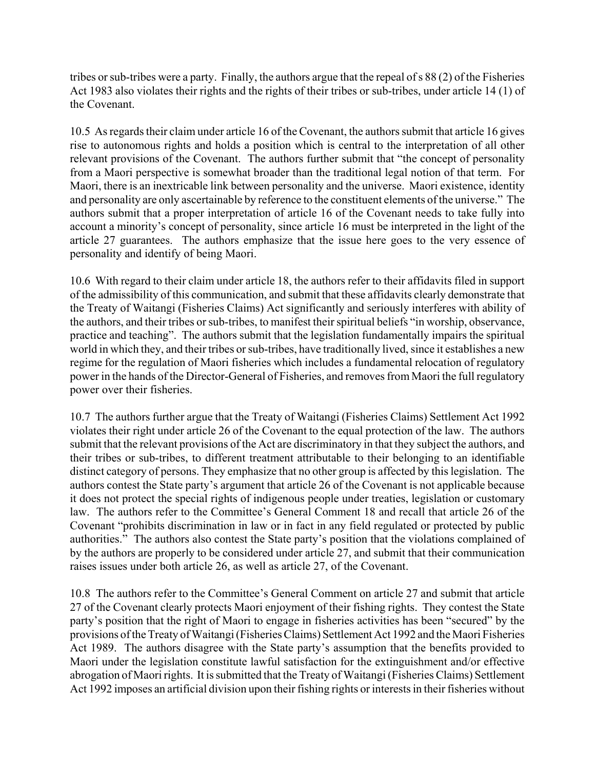tribes or sub-tribes were a party. Finally, the authors argue that the repeal of s 88 (2) of the Fisheries Act 1983 also violates their rights and the rights of their tribes or sub-tribes, under article 14 (1) of the Covenant.

10.5 As regards their claim under article 16 of the Covenant, the authors submit that article 16 gives rise to autonomous rights and holds a position which is central to the interpretation of all other relevant provisions of the Covenant. The authors further submit that "the concept of personality from a Maori perspective is somewhat broader than the traditional legal notion of that term. For Maori, there is an inextricable link between personality and the universe. Maori existence, identity and personality are only ascertainable by reference to the constituent elements of the universe." The authors submit that a proper interpretation of article 16 of the Covenant needs to take fully into account a minority's concept of personality, since article 16 must be interpreted in the light of the article 27 guarantees. The authors emphasize that the issue here goes to the very essence of personality and identify of being Maori.

10.6 With regard to their claim under article 18, the authors refer to their affidavits filed in support of the admissibility of this communication, and submit that these affidavits clearly demonstrate that the Treaty of Waitangi (Fisheries Claims) Act significantly and seriously interferes with ability of the authors, and their tribes or sub-tribes, to manifest their spiritual beliefs "in worship, observance, practice and teaching". The authors submit that the legislation fundamentally impairs the spiritual world in which they, and their tribes or sub-tribes, have traditionally lived, since it establishes a new regime for the regulation of Maori fisheries which includes a fundamental relocation of regulatory power in the hands of the Director-General of Fisheries, and removes from Maori the full regulatory power over their fisheries.

10.7 The authors further argue that the Treaty of Waitangi (Fisheries Claims) Settlement Act 1992 violates their right under article 26 of the Covenant to the equal protection of the law. The authors submit that the relevant provisions of the Act are discriminatory in that they subject the authors, and their tribes or sub-tribes, to different treatment attributable to their belonging to an identifiable distinct category of persons. They emphasize that no other group is affected by this legislation. The authors contest the State party's argument that article 26 of the Covenant is not applicable because it does not protect the special rights of indigenous people under treaties, legislation or customary law. The authors refer to the Committee's General Comment 18 and recall that article 26 of the Covenant "prohibits discrimination in law or in fact in any field regulated or protected by public authorities." The authors also contest the State party's position that the violations complained of by the authors are properly to be considered under article 27, and submit that their communication raises issues under both article 26, as well as article 27, of the Covenant.

10.8 The authors refer to the Committee's General Comment on article 27 and submit that article 27 of the Covenant clearly protects Maori enjoyment of their fishing rights. They contest the State party's position that the right of Maori to engage in fisheries activities has been "secured" by the provisions of the Treaty of Waitangi (Fisheries Claims) Settlement Act 1992 and the Maori Fisheries Act 1989. The authors disagree with the State party's assumption that the benefits provided to Maori under the legislation constitute lawful satisfaction for the extinguishment and/or effective abrogation of Maori rights. It is submitted that the Treaty of Waitangi (Fisheries Claims) Settlement Act 1992 imposes an artificial division upon their fishing rights or interests in their fisheries without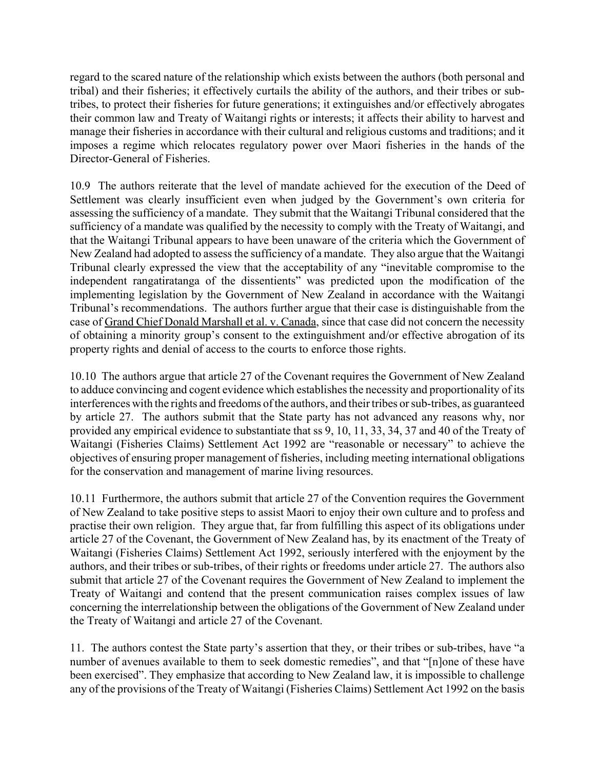regard to the scared nature of the relationship which exists between the authors (both personal and tribal) and their fisheries; it effectively curtails the ability of the authors, and their tribes or subtribes, to protect their fisheries for future generations; it extinguishes and/or effectively abrogates their common law and Treaty of Waitangi rights or interests; it affects their ability to harvest and manage their fisheries in accordance with their cultural and religious customs and traditions; and it imposes a regime which relocates regulatory power over Maori fisheries in the hands of the Director-General of Fisheries.

10.9 The authors reiterate that the level of mandate achieved for the execution of the Deed of Settlement was clearly insufficient even when judged by the Government's own criteria for assessing the sufficiency of a mandate. They submit that the Waitangi Tribunal considered that the sufficiency of a mandate was qualified by the necessity to comply with the Treaty of Waitangi, and that the Waitangi Tribunal appears to have been unaware of the criteria which the Government of New Zealand had adopted to assess the sufficiency of a mandate. They also argue that the Waitangi Tribunal clearly expressed the view that the acceptability of any "inevitable compromise to the independent rangatiratanga of the dissentients" was predicted upon the modification of the implementing legislation by the Government of New Zealand in accordance with the Waitangi Tribunal's recommendations. The authors further argue that their case is distinguishable from the case of Grand Chief Donald Marshall et al. v. Canada, since that case did not concern the necessity of obtaining a minority group's consent to the extinguishment and/or effective abrogation of its property rights and denial of access to the courts to enforce those rights.

10.10 The authors argue that article 27 of the Covenant requires the Government of New Zealand to adduce convincing and cogent evidence which establishes the necessity and proportionality of its interferences with the rights and freedoms of the authors, and their tribes or sub-tribes, as guaranteed by article 27. The authors submit that the State party has not advanced any reasons why, nor provided any empirical evidence to substantiate that ss 9, 10, 11, 33, 34, 37 and 40 of the Treaty of Waitangi (Fisheries Claims) Settlement Act 1992 are "reasonable or necessary" to achieve the objectives of ensuring proper management of fisheries, including meeting international obligations for the conservation and management of marine living resources.

10.11 Furthermore, the authors submit that article 27 of the Convention requires the Government of New Zealand to take positive steps to assist Maori to enjoy their own culture and to profess and practise their own religion. They argue that, far from fulfilling this aspect of its obligations under article 27 of the Covenant, the Government of New Zealand has, by its enactment of the Treaty of Waitangi (Fisheries Claims) Settlement Act 1992, seriously interfered with the enjoyment by the authors, and their tribes or sub-tribes, of their rights or freedoms under article 27. The authors also submit that article 27 of the Covenant requires the Government of New Zealand to implement the Treaty of Waitangi and contend that the present communication raises complex issues of law concerning the interrelationship between the obligations of the Government of New Zealand under the Treaty of Waitangi and article 27 of the Covenant.

11. The authors contest the State party's assertion that they, or their tribes or sub-tribes, have "a number of avenues available to them to seek domestic remedies", and that "[n]one of these have been exercised". They emphasize that according to New Zealand law, it is impossible to challenge any of the provisions of the Treaty of Waitangi (Fisheries Claims) Settlement Act 1992 on the basis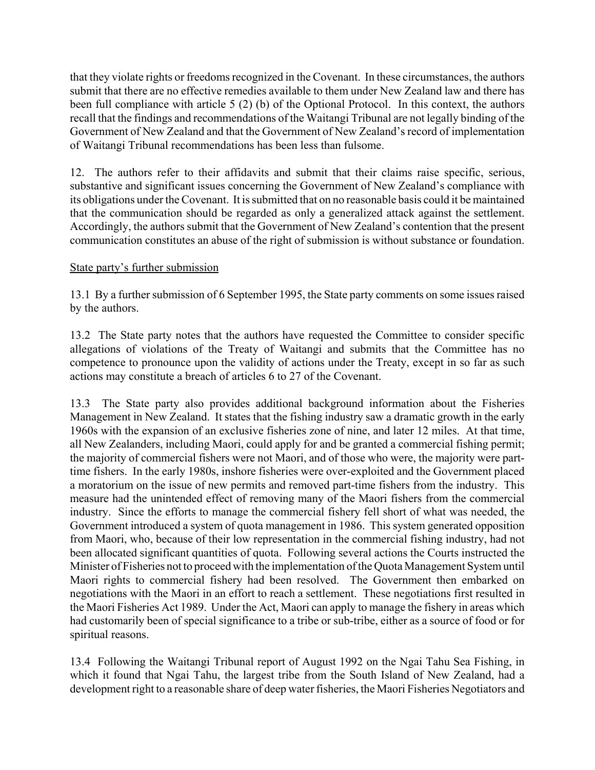that they violate rights or freedoms recognized in the Covenant. In these circumstances, the authors submit that there are no effective remedies available to them under New Zealand law and there has been full compliance with article 5 (2) (b) of the Optional Protocol. In this context, the authors recall that the findings and recommendations of the Waitangi Tribunal are not legally binding of the Government of New Zealand and that the Government of New Zealand's record of implementation of Waitangi Tribunal recommendations has been less than fulsome.

12. The authors refer to their affidavits and submit that their claims raise specific, serious, substantive and significant issues concerning the Government of New Zealand's compliance with its obligations under the Covenant. It is submitted that on no reasonable basis could it be maintained that the communication should be regarded as only a generalized attack against the settlement. Accordingly, the authors submit that the Government of New Zealand's contention that the present communication constitutes an abuse of the right of submission is without substance or foundation.

## State party's further submission

13.1 By a further submission of 6 September 1995, the State party comments on some issues raised by the authors.

13.2 The State party notes that the authors have requested the Committee to consider specific allegations of violations of the Treaty of Waitangi and submits that the Committee has no competence to pronounce upon the validity of actions under the Treaty, except in so far as such actions may constitute a breach of articles 6 to 27 of the Covenant.

13.3 The State party also provides additional background information about the Fisheries Management in New Zealand. It states that the fishing industry saw a dramatic growth in the early 1960s with the expansion of an exclusive fisheries zone of nine, and later 12 miles. At that time, all New Zealanders, including Maori, could apply for and be granted a commercial fishing permit; the majority of commercial fishers were not Maori, and of those who were, the majority were parttime fishers. In the early 1980s, inshore fisheries were over-exploited and the Government placed a moratorium on the issue of new permits and removed part-time fishers from the industry. This measure had the unintended effect of removing many of the Maori fishers from the commercial industry. Since the efforts to manage the commercial fishery fell short of what was needed, the Government introduced a system of quota management in 1986. This system generated opposition from Maori, who, because of their low representation in the commercial fishing industry, had not been allocated significant quantities of quota. Following several actions the Courts instructed the Minister of Fisheries not to proceed with the implementation of the Quota Management System until Maori rights to commercial fishery had been resolved. The Government then embarked on negotiations with the Maori in an effort to reach a settlement. These negotiations first resulted in the Maori Fisheries Act 1989. Under the Act, Maori can apply to manage the fishery in areas which had customarily been of special significance to a tribe or sub-tribe, either as a source of food or for spiritual reasons.

13.4 Following the Waitangi Tribunal report of August 1992 on the Ngai Tahu Sea Fishing, in which it found that Ngai Tahu, the largest tribe from the South Island of New Zealand, had a development right to a reasonable share of deep water fisheries, the Maori Fisheries Negotiators and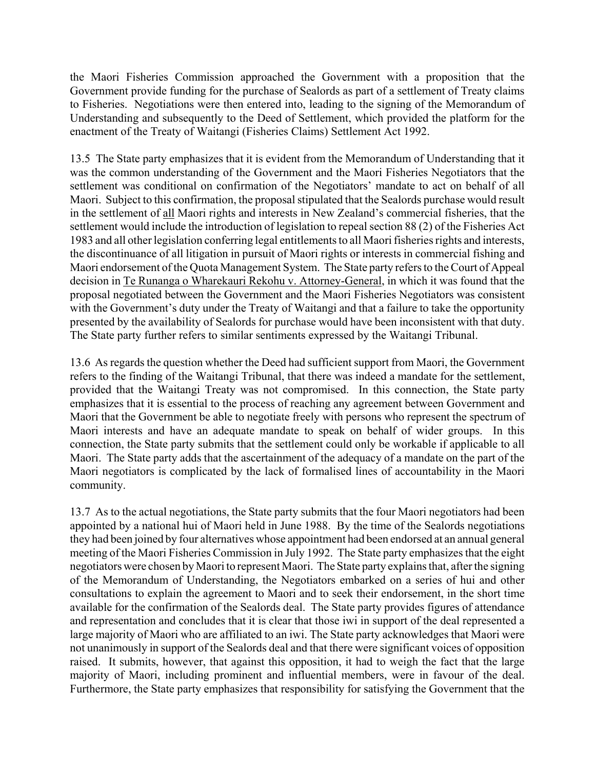the Maori Fisheries Commission approached the Government with a proposition that the Government provide funding for the purchase of Sealords as part of a settlement of Treaty claims to Fisheries. Negotiations were then entered into, leading to the signing of the Memorandum of Understanding and subsequently to the Deed of Settlement, which provided the platform for the enactment of the Treaty of Waitangi (Fisheries Claims) Settlement Act 1992.

13.5 The State party emphasizes that it is evident from the Memorandum of Understanding that it was the common understanding of the Government and the Maori Fisheries Negotiators that the settlement was conditional on confirmation of the Negotiators' mandate to act on behalf of all Maori. Subject to this confirmation, the proposal stipulated that the Sealords purchase would result in the settlement of all Maori rights and interests in New Zealand's commercial fisheries, that the settlement would include the introduction of legislation to repeal section 88 (2) of the Fisheries Act 1983 and all other legislation conferring legal entitlements to all Maori fisheries rights and interests, the discontinuance of all litigation in pursuit of Maori rights or interests in commercial fishing and Maori endorsement of the Quota Management System. The State party refers to the Court of Appeal decision in Te Runanga o Wharekauri Rekohu v. Attorney-General, in which it was found that the proposal negotiated between the Government and the Maori Fisheries Negotiators was consistent with the Government's duty under the Treaty of Waitangi and that a failure to take the opportunity presented by the availability of Sealords for purchase would have been inconsistent with that duty. The State party further refers to similar sentiments expressed by the Waitangi Tribunal.

13.6 As regards the question whether the Deed had sufficient support from Maori, the Government refers to the finding of the Waitangi Tribunal, that there was indeed a mandate for the settlement, provided that the Waitangi Treaty was not compromised. In this connection, the State party emphasizes that it is essential to the process of reaching any agreement between Government and Maori that the Government be able to negotiate freely with persons who represent the spectrum of Maori interests and have an adequate mandate to speak on behalf of wider groups. In this connection, the State party submits that the settlement could only be workable if applicable to all Maori. The State party adds that the ascertainment of the adequacy of a mandate on the part of the Maori negotiators is complicated by the lack of formalised lines of accountability in the Maori community.

13.7 As to the actual negotiations, the State party submits that the four Maori negotiators had been appointed by a national hui of Maori held in June 1988. By the time of the Sealords negotiations they had been joined by four alternatives whose appointment had been endorsed at an annual general meeting of the Maori Fisheries Commission in July 1992. The State party emphasizes that the eight negotiators were chosen by Maori to represent Maori. The State party explains that, after the signing of the Memorandum of Understanding, the Negotiators embarked on a series of hui and other consultations to explain the agreement to Maori and to seek their endorsement, in the short time available for the confirmation of the Sealords deal. The State party provides figures of attendance and representation and concludes that it is clear that those iwi in support of the deal represented a large majority of Maori who are affiliated to an iwi. The State party acknowledges that Maori were not unanimously in support of the Sealords deal and that there were significant voices of opposition raised. It submits, however, that against this opposition, it had to weigh the fact that the large majority of Maori, including prominent and influential members, were in favour of the deal. Furthermore, the State party emphasizes that responsibility for satisfying the Government that the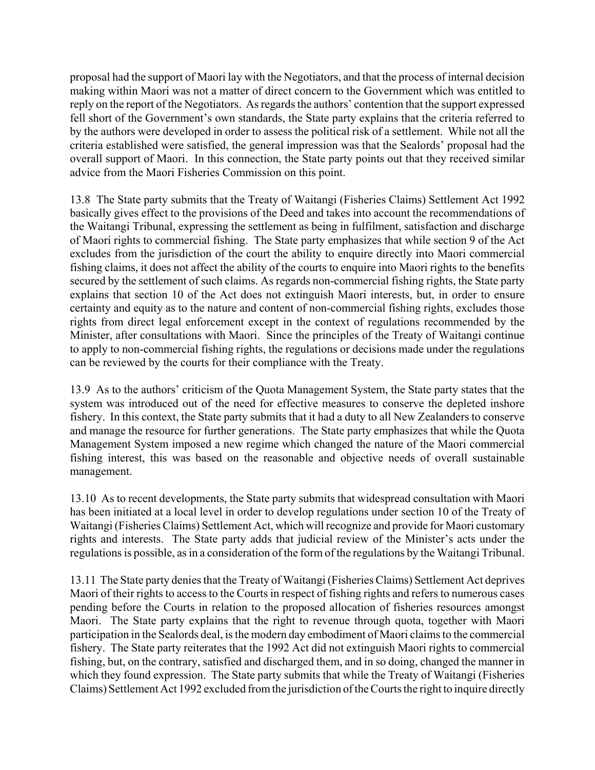proposal had the support of Maori lay with the Negotiators, and that the process of internal decision making within Maori was not a matter of direct concern to the Government which was entitled to reply on the report of the Negotiators. As regards the authors' contention that the support expressed fell short of the Government's own standards, the State party explains that the criteria referred to by the authors were developed in order to assess the political risk of a settlement. While not all the criteria established were satisfied, the general impression was that the Sealords' proposal had the overall support of Maori. In this connection, the State party points out that they received similar advice from the Maori Fisheries Commission on this point.

13.8 The State party submits that the Treaty of Waitangi (Fisheries Claims) Settlement Act 1992 basically gives effect to the provisions of the Deed and takes into account the recommendations of the Waitangi Tribunal, expressing the settlement as being in fulfilment, satisfaction and discharge of Maori rights to commercial fishing. The State party emphasizes that while section 9 of the Act excludes from the jurisdiction of the court the ability to enquire directly into Maori commercial fishing claims, it does not affect the ability of the courts to enquire into Maori rights to the benefits secured by the settlement of such claims. As regards non-commercial fishing rights, the State party explains that section 10 of the Act does not extinguish Maori interests, but, in order to ensure certainty and equity as to the nature and content of non-commercial fishing rights, excludes those rights from direct legal enforcement except in the context of regulations recommended by the Minister, after consultations with Maori. Since the principles of the Treaty of Waitangi continue to apply to non-commercial fishing rights, the regulations or decisions made under the regulations can be reviewed by the courts for their compliance with the Treaty.

13.9 As to the authors' criticism of the Quota Management System, the State party states that the system was introduced out of the need for effective measures to conserve the depleted inshore fishery. In this context, the State party submits that it had a duty to all New Zealanders to conserve and manage the resource for further generations. The State party emphasizes that while the Quota Management System imposed a new regime which changed the nature of the Maori commercial fishing interest, this was based on the reasonable and objective needs of overall sustainable management.

13.10 As to recent developments, the State party submits that widespread consultation with Maori has been initiated at a local level in order to develop regulations under section 10 of the Treaty of Waitangi (Fisheries Claims) Settlement Act, which will recognize and provide for Maori customary rights and interests. The State party adds that judicial review of the Minister's acts under the regulations is possible, as in a consideration of the form of the regulations by the Waitangi Tribunal.

13.11 The State party denies that the Treaty of Waitangi (Fisheries Claims) Settlement Act deprives Maori of their rights to access to the Courts in respect of fishing rights and refers to numerous cases pending before the Courts in relation to the proposed allocation of fisheries resources amongst Maori. The State party explains that the right to revenue through quota, together with Maori participation in the Sealords deal, is the modern day embodiment of Maori claims to the commercial fishery. The State party reiterates that the 1992 Act did not extinguish Maori rights to commercial fishing, but, on the contrary, satisfied and discharged them, and in so doing, changed the manner in which they found expression. The State party submits that while the Treaty of Waitangi (Fisheries Claims) Settlement Act 1992 excluded from the jurisdiction of the Courts the right to inquire directly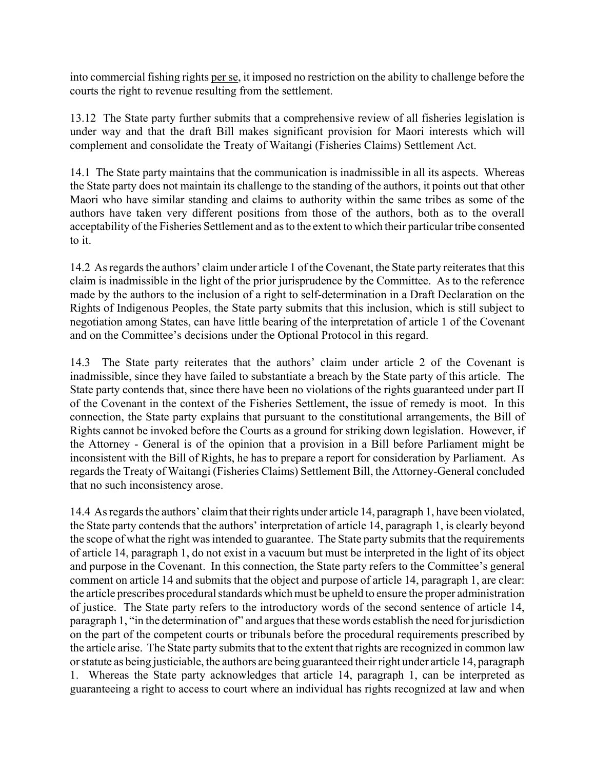into commercial fishing rights per se, it imposed no restriction on the ability to challenge before the courts the right to revenue resulting from the settlement.

13.12 The State party further submits that a comprehensive review of all fisheries legislation is under way and that the draft Bill makes significant provision for Maori interests which will complement and consolidate the Treaty of Waitangi (Fisheries Claims) Settlement Act.

14.1 The State party maintains that the communication is inadmissible in all its aspects. Whereas the State party does not maintain its challenge to the standing of the authors, it points out that other Maori who have similar standing and claims to authority within the same tribes as some of the authors have taken very different positions from those of the authors, both as to the overall acceptability of the Fisheries Settlement and as to the extent to which their particular tribe consented to it.

14.2 As regards the authors' claim under article 1 of the Covenant, the State party reiterates that this claim is inadmissible in the light of the prior jurisprudence by the Committee. As to the reference made by the authors to the inclusion of a right to self-determination in a Draft Declaration on the Rights of Indigenous Peoples, the State party submits that this inclusion, which is still subject to negotiation among States, can have little bearing of the interpretation of article 1 of the Covenant and on the Committee's decisions under the Optional Protocol in this regard.

14.3 The State party reiterates that the authors' claim under article 2 of the Covenant is inadmissible, since they have failed to substantiate a breach by the State party of this article. The State party contends that, since there have been no violations of the rights guaranteed under part II of the Covenant in the context of the Fisheries Settlement, the issue of remedy is moot. In this connection, the State party explains that pursuant to the constitutional arrangements, the Bill of Rights cannot be invoked before the Courts as a ground for striking down legislation. However, if the Attorney - General is of the opinion that a provision in a Bill before Parliament might be inconsistent with the Bill of Rights, he has to prepare a report for consideration by Parliament. As regards the Treaty of Waitangi (Fisheries Claims) Settlement Bill, the Attorney-General concluded that no such inconsistency arose.

14.4 As regards the authors' claim that their rights under article 14, paragraph 1, have been violated, the State party contends that the authors' interpretation of article 14, paragraph 1, is clearly beyond the scope of what the right was intended to guarantee. The State party submits that the requirements of article 14, paragraph 1, do not exist in a vacuum but must be interpreted in the light of its object and purpose in the Covenant. In this connection, the State party refers to the Committee's general comment on article 14 and submits that the object and purpose of article 14, paragraph 1, are clear: the article prescribes procedural standards which must be upheld to ensure the proper administration of justice. The State party refers to the introductory words of the second sentence of article 14, paragraph 1, "in the determination of" and argues that these words establish the need for jurisdiction on the part of the competent courts or tribunals before the procedural requirements prescribed by the article arise. The State party submits that to the extent that rights are recognized in common law or statute as being justiciable, the authors are being guaranteed their right under article 14, paragraph 1. Whereas the State party acknowledges that article 14, paragraph 1, can be interpreted as guaranteeing a right to access to court where an individual has rights recognized at law and when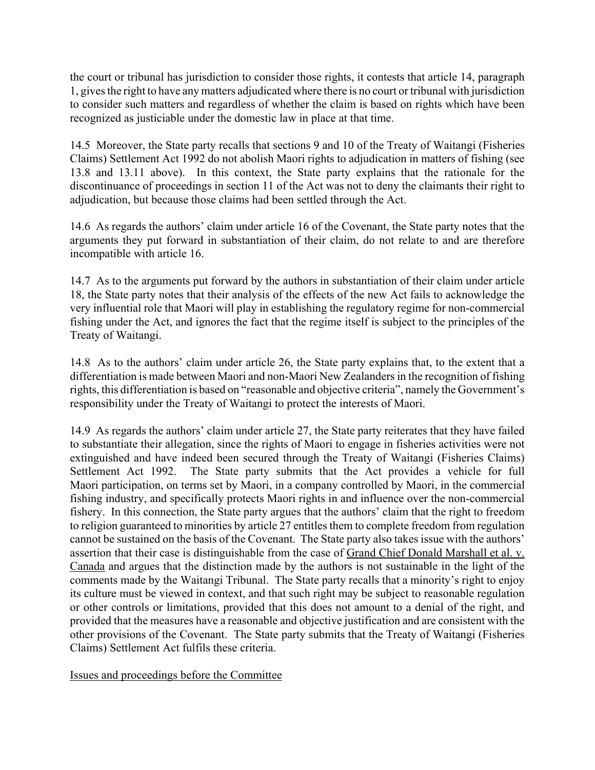the court or tribunal has jurisdiction to consider those rights, it contests that article 14, paragraph 1, gives the right to have any matters adjudicated where there is no court or tribunal with jurisdiction to consider such matters and regardless of whether the claim is based on rights which have been recognized as justiciable under the domestic law in place at that time.

14.5 Moreover, the State party recalls that sections 9 and 10 of the Treaty of Waitangi (Fisheries Claims) Settlement Act 1992 do not abolish Maori rights to adjudication in matters of fishing (see 13.8 and 13.11 above). In this context, the State party explains that the rationale for the discontinuance of proceedings in section 11 of the Act was not to deny the claimants their right to adjudication, but because those claims had been settled through the Act.

14.6 As regards the authors' claim under article 16 of the Covenant, the State party notes that the arguments they put forward in substantiation of their claim, do not relate to and are therefore incompatible with article 16.

14.7 As to the arguments put forward by the authors in substantiation of their claim under article 18, the State party notes that their analysis of the effects of the new Act fails to acknowledge the very influential role that Maori will play in establishing the regulatory regime for non-commercial fishing under the Act, and ignores the fact that the regime itself is subject to the principles of the Treaty of Waitangi.

14.8 As to the authors' claim under article 26, the State party explains that, to the extent that a differentiation is made between Maori and non-Maori New Zealanders in the recognition of fishing rights, this differentiation is based on "reasonable and objective criteria", namely the Government's responsibility under the Treaty of Waitangi to protect the interests of Maori.

14.9 As regards the authors' claim under article 27, the State party reiterates that they have failed to substantiate their allegation, since the rights of Maori to engage in fisheries activities were not extinguished and have indeed been secured through the Treaty of Waitangi (Fisheries Claims) Settlement Act 1992. The State party submits that the Act provides a vehicle for full Maori participation, on terms set by Maori, in a company controlled by Maori, in the commercial fishing industry, and specifically protects Maori rights in and influence over the non-commercial fishery. In this connection, the State party argues that the authors' claim that the right to freedom to religion guaranteed to minorities by article 27 entitles them to complete freedom from regulation cannot be sustained on the basis of the Covenant. The State party also takes issue with the authors' assertion that their case is distinguishable from the case of Grand Chief Donald Marshall et al. v. Canada and argues that the distinction made by the authors is not sustainable in the light of the comments made by the Waitangi Tribunal. The State party recalls that a minority's right to enjoy its culture must be viewed in context, and that such right may be subject to reasonable regulation or other controls or limitations, provided that this does not amount to a denial of the right, and provided that the measures have a reasonable and objective justification and are consistent with the other provisions of the Covenant. The State party submits that the Treaty of Waitangi (Fisheries Claims) Settlement Act fulfils these criteria.

Issues and proceedings before the Committee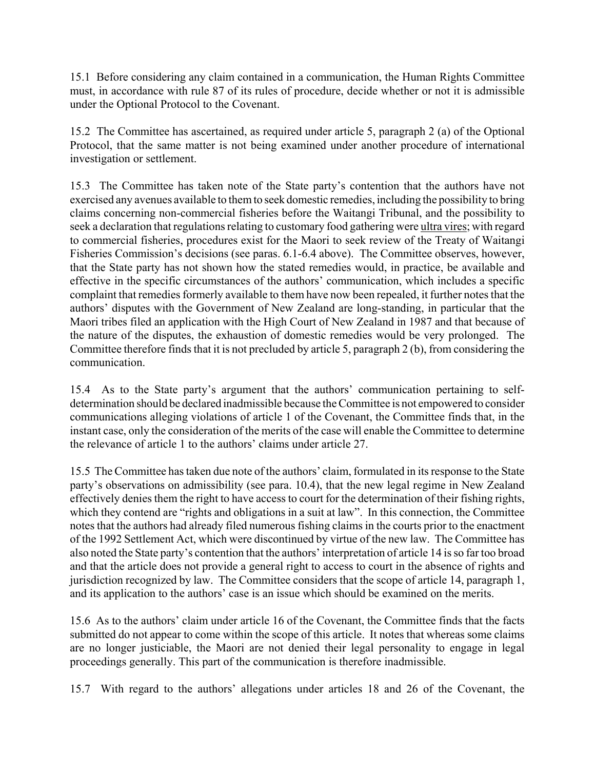15.1 Before considering any claim contained in a communication, the Human Rights Committee must, in accordance with rule 87 of its rules of procedure, decide whether or not it is admissible under the Optional Protocol to the Covenant.

15.2 The Committee has ascertained, as required under article 5, paragraph 2 (a) of the Optional Protocol, that the same matter is not being examined under another procedure of international investigation or settlement.

15.3 The Committee has taken note of the State partyís contention that the authors have not exercised any avenues available to them to seek domestic remedies, including the possibility to bring claims concerning non-commercial fisheries before the Waitangi Tribunal, and the possibility to seek a declaration that regulations relating to customary food gathering were ultra vires; with regard to commercial fisheries, procedures exist for the Maori to seek review of the Treaty of Waitangi Fisheries Commission's decisions (see paras. 6.1-6.4 above). The Committee observes, however, that the State party has not shown how the stated remedies would, in practice, be available and effective in the specific circumstances of the authors' communication, which includes a specific complaint that remedies formerly available to them have now been repealed, it further notes that the authors' disputes with the Government of New Zealand are long-standing, in particular that the Maori tribes filed an application with the High Court of New Zealand in 1987 and that because of the nature of the disputes, the exhaustion of domestic remedies would be very prolonged. The Committee therefore finds that it is not precluded by article 5, paragraph 2 (b), from considering the communication.

15.4 As to the State party's argument that the authors' communication pertaining to selfdetermination should be declared inadmissible because the Committee is not empowered to consider communications alleging violations of article 1 of the Covenant, the Committee finds that, in the instant case, only the consideration of the merits of the case will enable the Committee to determine the relevance of article 1 to the authors' claims under article  $27$ .

15.5 The Committee has taken due note of the authors' claim, formulated in its response to the State party's observations on admissibility (see para. 10.4), that the new legal regime in New Zealand effectively denies them the right to have access to court for the determination of their fishing rights, which they contend are "rights and obligations in a suit at law". In this connection, the Committee notes that the authors had already filed numerous fishing claims in the courts prior to the enactment of the 1992 Settlement Act, which were discontinued by virtue of the new law. The Committee has also noted the State party's contention that the authors' interpretation of article 14 is so far too broad and that the article does not provide a general right to access to court in the absence of rights and jurisdiction recognized by law. The Committee considers that the scope of article 14, paragraph 1, and its application to the authors' case is an issue which should be examined on the merits.

15.6 As to the authors' claim under article 16 of the Covenant, the Committee finds that the facts submitted do not appear to come within the scope of this article. It notes that whereas some claims are no longer justiciable, the Maori are not denied their legal personality to engage in legal proceedings generally. This part of the communication is therefore inadmissible.

15.7 With regard to the authors' allegations under articles 18 and 26 of the Covenant, the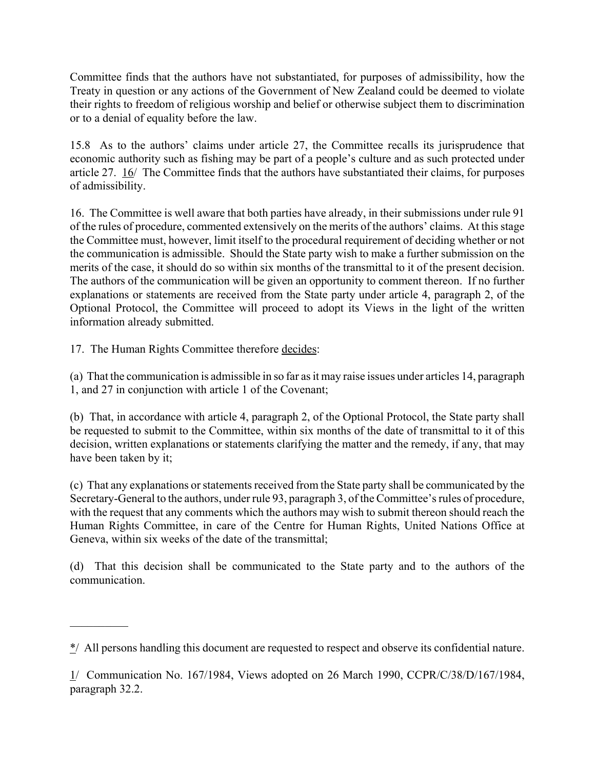Committee finds that the authors have not substantiated, for purposes of admissibility, how the Treaty in question or any actions of the Government of New Zealand could be deemed to violate their rights to freedom of religious worship and belief or otherwise subject them to discrimination or to a denial of equality before the law.

15.8 As to the authors' claims under article 27, the Committee recalls its jurisprudence that economic authority such as fishing may be part of a people's culture and as such protected under article 27. 16/ The Committee finds that the authors have substantiated their claims, for purposes of admissibility.

16. The Committee is well aware that both parties have already, in their submissions under rule 91 of the rules of procedure, commented extensively on the merits of the authors' claims. At this stage the Committee must, however, limit itself to the procedural requirement of deciding whether or not the communication is admissible. Should the State party wish to make a further submission on the merits of the case, it should do so within six months of the transmittal to it of the present decision. The authors of the communication will be given an opportunity to comment thereon. If no further explanations or statements are received from the State party under article 4, paragraph 2, of the Optional Protocol, the Committee will proceed to adopt its Views in the light of the written information already submitted.

17. The Human Rights Committee therefore decides:

 $\frac{1}{2}$ 

(a) That the communication is admissible in so far as it may raise issues under articles 14, paragraph 1, and 27 in conjunction with article 1 of the Covenant;

(b) That, in accordance with article 4, paragraph 2, of the Optional Protocol, the State party shall be requested to submit to the Committee, within six months of the date of transmittal to it of this decision, written explanations or statements clarifying the matter and the remedy, if any, that may have been taken by it;

(c) That any explanations or statements received from the State party shall be communicated by the Secretary-General to the authors, under rule 93, paragraph 3, of the Committee's rules of procedure, with the request that any comments which the authors may wish to submit thereon should reach the Human Rights Committee, in care of the Centre for Human Rights, United Nations Office at Geneva, within six weeks of the date of the transmittal;

(d) That this decision shall be communicated to the State party and to the authors of the communication.

<sup>\*/</sup> All persons handling this document are requested to respect and observe its confidential nature.

<sup>1/</sup> Communication No. 167/1984, Views adopted on 26 March 1990, CCPR/C/38/D/167/1984, paragraph 32.2.